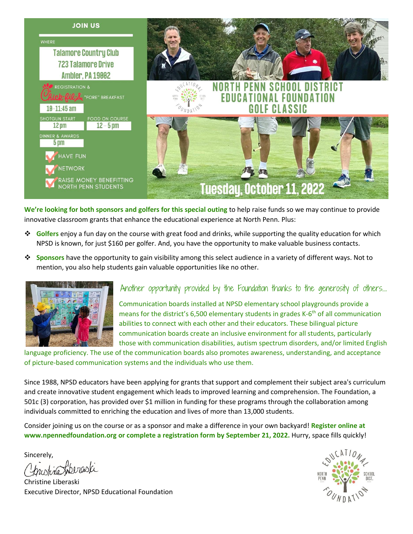

**We're looking for both sponsors and golfers for this special outing** to help raise funds so we may continue to provide innovative classroom grants that enhance the educational experience at North Penn. Plus:

- ❖ **Golfers** enjoy a fun day on the course with great food and drinks, while supporting the quality education for which NPSD is known, for just \$160 per golfer. And, you have the opportunity to make valuable business contacts.
- ❖ **Sponsors** have the opportunity to gain visibility among this select audience in a variety of different ways. Not to mention, you also help students gain valuable opportunities like no other.



## Another opportunity provided by the Foundation thanks to the generosity of others….

Communication boards installed at NPSD elementary school playgrounds provide a means for the district's 6,500 elementary students in grades K-6<sup>th</sup> of all communication abilities to connect with each other and their educators. These bilingual picture communication boards create an inclusive environment for all students, particularly those with communication disabilities, autism spectrum disorders, and/or limited English

language proficiency. The use of the communication boards also promotes awareness, understanding, and acceptance of picture-based communication systems and the individuals who use them.

Since 1988, NPSD educators have been applying for grants that support and complement their subject area's curriculum and create innovative student engagement which leads to improved learning and comprehension. The Foundation, a 501c (3) corporation, has provided over \$1 million in funding for these programs through the collaboration among individuals committed to enriching the education and lives of more than 13,000 students.

Consider joining us on the course or as a sponsor and make a difference in your own backyard! **Register online at [www.npennedfoundation.org](http://www.npennedfoundation.org/) or complete a registration form by September 21, 2022.** Hurry, space fills quickly!

Sincerely,

no Liberaski

Christine Liberaski Executive Director, NPSD Educational Foundation

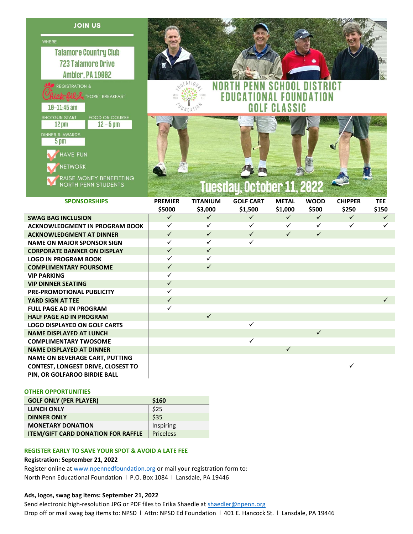**JOIN US** 



ick-fil Le "FORE" BREAKFAST

FOOD ON COURSE  $12 - 5$  pm

RAISE MONEY BENEFITTING<br>NORTH PENN STUDENTS

 $10 - 11:45$  am

**SHOTGUN START** 

 $12 \text{ pm}$ 

 $5<sub>pm</sub>$ 

HAVE FUN **NETWORK** 



**EDUCAT** 



**NAL FOUNDATION** 

| <b>SPONSORSHIPS</b>                       | <b>PREMIER</b> | TITANIUM     | <b>GOLF CART</b> | <b>METAL</b> | <b>WOOD</b>  | <b>CHIPPER</b> | <b>TEE</b>   |
|-------------------------------------------|----------------|--------------|------------------|--------------|--------------|----------------|--------------|
|                                           | \$5000         | \$3,000      | \$1,500          | \$1,000      | \$500        | \$250          | \$150        |
| <b>SWAG BAG INCLUSION</b>                 | $\checkmark$   | $\checkmark$ | $\checkmark$     | $\checkmark$ | $\checkmark$ | $\checkmark$   | $\checkmark$ |
| <b>ACKNOWLEDGMENT IN PROGRAM BOOK</b>     | ✓              | ✓            | $\checkmark$     | $\checkmark$ | $\checkmark$ | ✓              | $\checkmark$ |
| <b>ACKNOWLEDGMENT AT DINNER</b>           | $\checkmark$   | $\checkmark$ | $\checkmark$     | $\checkmark$ | $\checkmark$ |                |              |
| <b>NAME ON MAJOR SPONSOR SIGN</b>         | ✓              | ✓            | $\checkmark$     |              |              |                |              |
| <b>CORPORATE BANNER ON DISPLAY</b>        | $\checkmark$   | $\checkmark$ |                  |              |              |                |              |
| <b>LOGO IN PROGRAM BOOK</b>               | $\checkmark$   | ✓            |                  |              |              |                |              |
| <b>COMPLIMENTARY FOURSOME</b>             | $\checkmark$   | $\checkmark$ |                  |              |              |                |              |
| <b>VIP PARKING</b>                        | ✓              |              |                  |              |              |                |              |
| <b>VIP DINNER SEATING</b>                 | $\checkmark$   |              |                  |              |              |                |              |
| <b>PRE-PROMOTIONAL PUBLICITY</b>          | ✓              |              |                  |              |              |                |              |
| YARD SIGN AT TEE                          | $\checkmark$   |              |                  |              |              |                | $\checkmark$ |
| <b>FULL PAGE AD IN PROGRAM</b>            | ✓              |              |                  |              |              |                |              |
| <b>HALF PAGE AD IN PROGRAM</b>            |                | $\checkmark$ |                  |              |              |                |              |
| <b>LOGO DISPLAYED ON GOLF CARTS</b>       |                |              | $\checkmark$     |              |              |                |              |
| <b>NAME DISPLAYED AT LUNCH</b>            |                |              |                  |              | $\checkmark$ |                |              |
| <b>COMPLIMENTARY TWOSOME</b>              |                |              | ✓                |              |              |                |              |
| <b>NAME DISPLAYED AT DINNER</b>           |                |              |                  | $\checkmark$ |              |                |              |
| <b>NAME ON BEVERAGE CART, PUTTING</b>     |                |              |                  |              |              |                |              |
| <b>CONTEST, LONGEST DRIVE, CLOSEST TO</b> |                |              |                  |              |              | ✓              |              |
| PIN, OR GOLFAROO BIRDIE BALL              |                |              |                  |              |              |                |              |

#### **OTHER OPPORTUNITIES**

| <b>GOLF ONLY (PER PLAYER)</b>             | \$160     |
|-------------------------------------------|-----------|
| <b>LUNCH ONLY</b>                         | \$25      |
| <b>DINNER ONLY</b>                        | \$35      |
| <b>MONETARY DONATION</b>                  | Inspiring |
| <b>ITEM/GIFT CARD DONATION FOR RAFFLE</b> | Priceless |

#### **REGISTER EARLY TO SAVE YOUR SPOT & AVOID A LATE FEE**

#### **Registration: September 21, 2022**

Register online at [www.npennedfoundation.org](http://www.npennedfoundation.org/) or mail your registration form to: North Penn Educational Foundation l P.O. Box 1084 l Lansdale, PA 19446

### **Ads, logos, swag bag items: September 21, 2022**

Send electronic high-resolution JPG or PDF files to Erika Shaedle at [shaedler@npenn.org](mailto:shaedler@npenn.org) Drop off or mail swag bag items to: NPSD | Attn: NPSD Ed Foundation | 401 E. Hancock St. | Lansdale, PA 19446